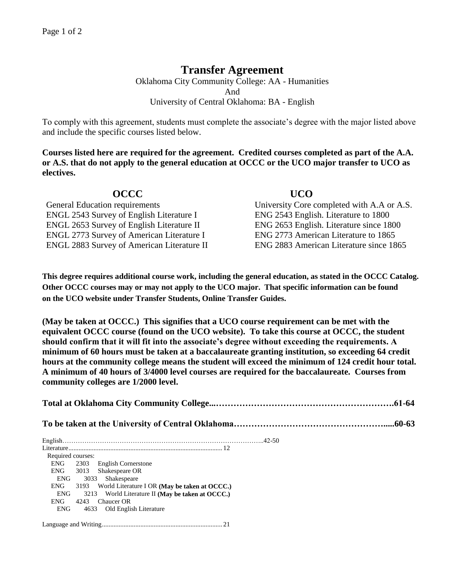## **Transfer Agreement**

Oklahoma City Community College: AA - Humanities And University of Central Oklahoma: BA - English

To comply with this agreement, students must complete the associate's degree with the major listed above and include the specific courses listed below.

**Courses listed here are required for the agreement. Credited courses completed as part of the A.A. or A.S. that do not apply to the general education at OCCC or the UCO major transfer to UCO as electives.**

| <b>OCCC</b>                                       | <b>UCO</b>                                 |
|---------------------------------------------------|--------------------------------------------|
| <b>General Education requirements</b>             | University Core completed with A.A or A.S. |
| <b>ENGL 2543 Survey of English Literature I</b>   | ENG 2543 English. Literature to 1800       |
| <b>ENGL 2653 Survey of English Literature II</b>  | ENG 2653 English. Literature since 1800    |
| <b>ENGL 2773 Survey of American Literature I</b>  | ENG 2773 American Literature to 1865       |
| <b>ENGL 2883 Survey of American Literature II</b> | ENG 2883 American Literature since 1865    |

**This degree requires additional course work, including the general education, as stated in the OCCC Catalog. Other OCCC courses may or may not apply to the UCO major. That specific information can be found on the UCO website under Transfer Students, Online Transfer Guides.** 

**(May be taken at OCCC.) This signifies that a UCO course requirement can be met with the equivalent OCCC course (found on the UCO website). To take this course at OCCC, the student should confirm that it will fit into the associate's degree without exceeding the requirements. A minimum of 60 hours must be taken at a baccalaureate granting institution, so exceeding 64 credit hours at the community college means the student will exceed the minimum of 124 credit hour total. A minimum of 40 hours of 3/4000 level courses are required for the baccalaureate. Courses from community colleges are 1/2000 level.**

| Required courses: |  |                                                    |  |
|-------------------|--|----------------------------------------------------|--|
|                   |  | ENG 2303 English Cornerstone                       |  |
|                   |  | ENG 3013 Shakespeare OR                            |  |
| ENG               |  | 3033 Shakespeare                                   |  |
| ENG               |  | 3193 World Literature I OR (May be taken at OCCC.) |  |
| ENG               |  | 3213 World Literature II (May be taken at OCCC.)   |  |
| ENG               |  | 4243 Chaucer OR                                    |  |
| <b>ENG</b>        |  | 4633 Old English Literature                        |  |
|                   |  |                                                    |  |